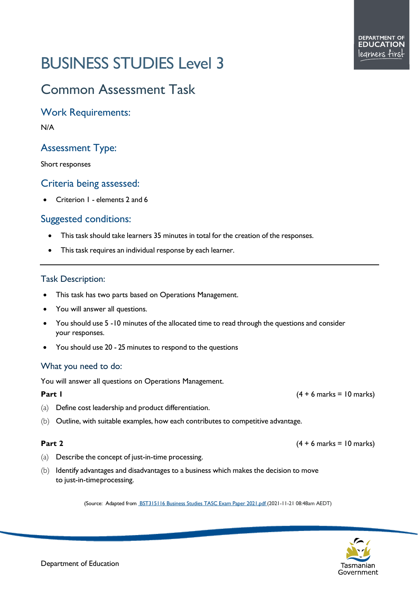# BUSINESS STUDIES Level 3

## Common Assessment Task

Work Requirements:

N/A

### Assessment Type:

Short responses

#### Criteria being assessed:

• Criterion 1 - elements 2 and 6

### Suggested conditions:

- This task should take learners 35 minutes in total for the creation of the responses.
- This task requires an individual response by each learner.

#### Task Description:

- This task has two parts based on Operations Management.
- You will answer all questions.
- You should use 5 -10 minutes of the allocated time to read through the questions and consider your responses.
- You should use 20 25 minutes to respond to the questions

#### What you need to do:

You will answer all questions on Operations Management.

- (a) Define cost leadership and product differentiation.
- (b) Outline, with suitable examples, how each contributes to competitive advantage.

- (a) Describe the concept of just-in-time processing.
- (b) Identify advantages and disadvantages to a business which makes the decision to move to just-in-timeprocessing.

(Source: Adapted fro[m BST315116 Business Studies TASC Exam Paper 2021.pdf](https://cma.education.tas.gov.au/api/Document/3492/BST315116%20Business%20Studies%20TASC%20Exam%20Paper%202021.pdf) (2021-11-21 08:48am AEDT)



**Part 1** (4 + 6 marks = 10 marks)

**Part** 2 (4 + 6 marks = 10 marks)